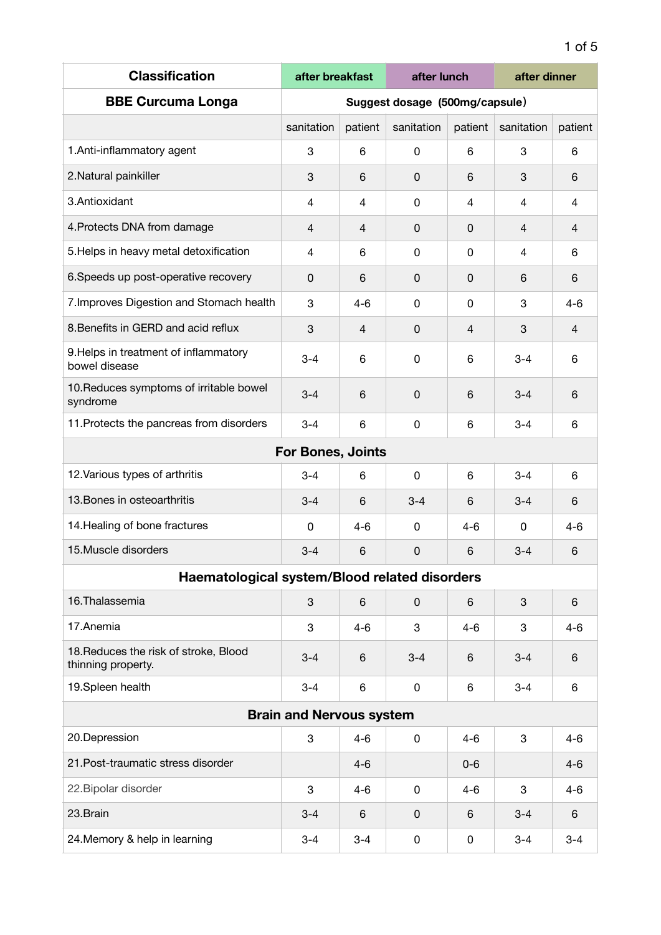| <b>Classification</b>                                       | after breakfast                |                | after lunch |                | after dinner   |                |  |
|-------------------------------------------------------------|--------------------------------|----------------|-------------|----------------|----------------|----------------|--|
| <b>BBE Curcuma Longa</b>                                    | Suggest dosage (500mg/capsule) |                |             |                |                |                |  |
|                                                             | sanitation                     | patient        | sanitation  | patient        | sanitation     | patient        |  |
| 1. Anti-inflammatory agent                                  | 3                              | 6              | 0           | 6              | 3              | 6              |  |
| 2. Natural painkiller                                       | 3                              | 6              | 0           | 6              | 3              | 6              |  |
| 3.Antioxidant                                               | 4                              | 4              | 0           | $\overline{4}$ | 4              | 4              |  |
| 4. Protects DNA from damage                                 | 4                              | $\overline{4}$ | 0           | 0              | $\overline{4}$ | $\overline{4}$ |  |
| 5. Helps in heavy metal detoxification                      | 4                              | 6              | 0           | 0              | 4              | 6              |  |
| 6. Speeds up post-operative recovery                        | 0                              | 6              | $\Omega$    | 0              | 6              | 6              |  |
| 7. Improves Digestion and Stomach health                    | 3                              | $4 - 6$        | $\mathbf 0$ | 0              | 3              | $4 - 6$        |  |
| 8. Benefits in GERD and acid reflux                         | 3                              | 4              | 0           | 4              | 3              | 4              |  |
| 9. Helps in treatment of inflammatory<br>bowel disease      | $3 - 4$                        | 6              | 0           | 6              | $3 - 4$        | 6              |  |
| 10. Reduces symptoms of irritable bowel<br>syndrome         | $3 - 4$                        | 6              | $\mathbf 0$ | 6              | $3 - 4$        | 6              |  |
| 11. Protects the pancreas from disorders                    | $3 - 4$                        | 6              | 0           | 6              | $3 - 4$        | 6              |  |
|                                                             | <b>For Bones, Joints</b>       |                |             |                |                |                |  |
| 12. Various types of arthritis                              | $3 - 4$                        | 6              | 0           | 6              | $3 - 4$        | 6              |  |
| 13. Bones in osteoarthritis                                 | $3 - 4$                        | 6              | $3 - 4$     | 6              | $3 - 4$        | 6              |  |
| 14. Healing of bone fractures                               | 0                              | $4 - 6$        | 0           | $4 - 6$        | 0              | $4 - 6$        |  |
| 15. Muscle disorders                                        | $3 - 4$                        | 6              | 0           | 6              | $3 - 4$        | 6              |  |
| Haematological system/Blood related disorders               |                                |                |             |                |                |                |  |
| 16. Thalassemia                                             | 3                              | 6              | 0           | 6              | 3              | 6              |  |
| 17.Anemia                                                   | 3                              | $4 - 6$        | 3           | $4 - 6$        | 3              | $4 - 6$        |  |
| 18. Reduces the risk of stroke, Blood<br>thinning property. | $3 - 4$                        | 6              | $3 - 4$     | 6              | $3 - 4$        | 6              |  |
| 19.Spleen health                                            | $3 - 4$                        | 6              | $\mathbf 0$ | 6              | $3 - 4$        | 6              |  |
| <b>Brain and Nervous system</b>                             |                                |                |             |                |                |                |  |
| 20.Depression                                               | 3                              | $4 - 6$        | 0           | 4-6            | 3              | $4 - 6$        |  |
| 21. Post-traumatic stress disorder                          |                                | $4 - 6$        |             | $0-6$          |                | $4 - 6$        |  |
| 22. Bipolar disorder                                        | 3                              | $4 - 6$        | 0           | 4-6            | 3              | $4 - 6$        |  |
| 23.Brain                                                    | $3 - 4$                        | 6              | 0           | 6              | $3 - 4$        | 6              |  |
| 24. Memory & help in learning                               | $3 - 4$                        | $3 - 4$        | 0           | 0              | $3 - 4$        | $3 - 4$        |  |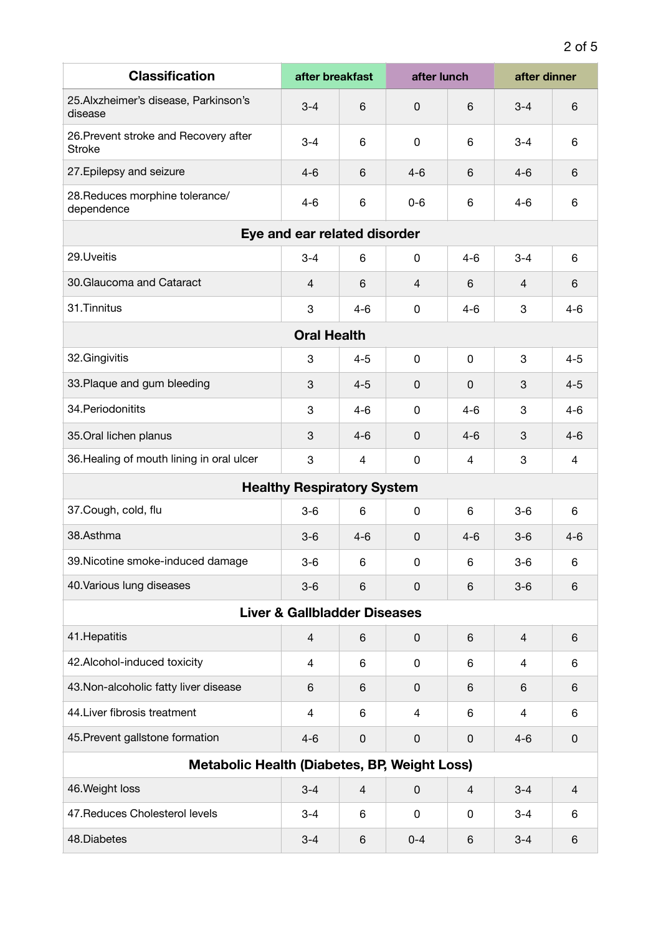| <b>Classification</b>                                  | after breakfast                   |         | after lunch |          | after dinner             |                |  |  |
|--------------------------------------------------------|-----------------------------------|---------|-------------|----------|--------------------------|----------------|--|--|
| 25.Alxzheimer's disease, Parkinson's<br>disease        | $3 - 4$                           | 6       | 0           | 6        | $3 - 4$                  | 6              |  |  |
| 26. Prevent stroke and Recovery after<br><b>Stroke</b> | $3 - 4$                           | 6       | $\mathbf 0$ | 6        | $3 - 4$                  | 6              |  |  |
| 27. Epilepsy and seizure                               | $4 - 6$                           | 6       | $4 - 6$     | 6        | $4 - 6$                  | 6              |  |  |
| 28. Reduces morphine tolerance/<br>dependence          | $4 - 6$                           | 6       | $0-6$       | 6        | $4 - 6$                  | 6              |  |  |
| Eye and ear related disorder                           |                                   |         |             |          |                          |                |  |  |
| 29.Uveitis                                             | $3 - 4$                           | 6       | 0           | $4 - 6$  | $3 - 4$                  | 6              |  |  |
| 30. Glaucoma and Cataract                              | 4                                 | 6       | 4           | 6        | 4                        | $6\phantom{1}$ |  |  |
| 31. Tinnitus                                           | 3                                 | $4 - 6$ | 0           | $4 - 6$  | 3                        | $4 - 6$        |  |  |
| <b>Oral Health</b>                                     |                                   |         |             |          |                          |                |  |  |
| 32.Gingivitis                                          | 3                                 | $4 - 5$ | $\mathbf 0$ | 0        | 3                        | $4 - 5$        |  |  |
| 33. Plaque and gum bleeding                            | 3                                 | $4 - 5$ | 0           | $\Omega$ | 3                        | $4 - 5$        |  |  |
| 34. Periodonitits                                      | 3                                 | $4 - 6$ | $\mathbf 0$ | 4-6      | 3                        | $4 - 6$        |  |  |
| 35.Oral lichen planus                                  | 3                                 | $4 - 6$ | $\mathbf 0$ | $4 - 6$  | 3                        | $4 - 6$        |  |  |
| 36. Healing of mouth lining in oral ulcer              | 3                                 | 4       | 0           | 4        | 3                        | 4              |  |  |
|                                                        | <b>Healthy Respiratory System</b> |         |             |          |                          |                |  |  |
| 37. Cough, cold, flu                                   | $3-6$                             | 6       | 0           | 6        | $3-6$                    | 6              |  |  |
| 38.Asthma                                              | $3-6$                             | $4 - 6$ | 0           | $4 - 6$  | $3-6$                    | $4 - 6$        |  |  |
| 39. Nicotine smoke-induced damage                      | $3 - 6$                           | 6       | 0           | 6        | $3-6$                    | 6              |  |  |
| 40. Various lung diseases                              | $3-6$                             | 6       | 0           | 6        | $3-6$                    | 6              |  |  |
| <b>Liver &amp; Gallbladder Diseases</b>                |                                   |         |             |          |                          |                |  |  |
| 41. Hepatitis                                          | 4                                 | 6       | 0           | 6        | $\overline{\mathcal{A}}$ | 6              |  |  |
| 42. Alcohol-induced toxicity                           | 4                                 | 6       | $\mathbf 0$ | 6        | 4                        | 6              |  |  |
| 43. Non-alcoholic fatty liver disease                  | 6                                 | 6       | $\mathbf 0$ | 6        | 6                        | 6              |  |  |
| 44. Liver fibrosis treatment                           | 4                                 | 6       | 4           | 6        | 4                        | 6              |  |  |
| 45. Prevent gallstone formation                        | $4 - 6$                           | 0       | $\mathbf 0$ | 0        | $4 - 6$                  | $\mathbf 0$    |  |  |
| Metabolic Health (Diabetes, BP, Weight Loss)           |                                   |         |             |          |                          |                |  |  |
| 46. Weight loss                                        | $3 - 4$                           | 4       | $\mathbf 0$ | 4        | $3 - 4$                  | $\overline{4}$ |  |  |
| 47. Reduces Cholesterol levels                         | $3 - 4$                           | 6       | $\mathbf 0$ | 0        | $3 - 4$                  | 6              |  |  |
| 48.Diabetes                                            | $3 - 4$                           | 6       | $0 - 4$     | 6        | $3 - 4$                  | 6              |  |  |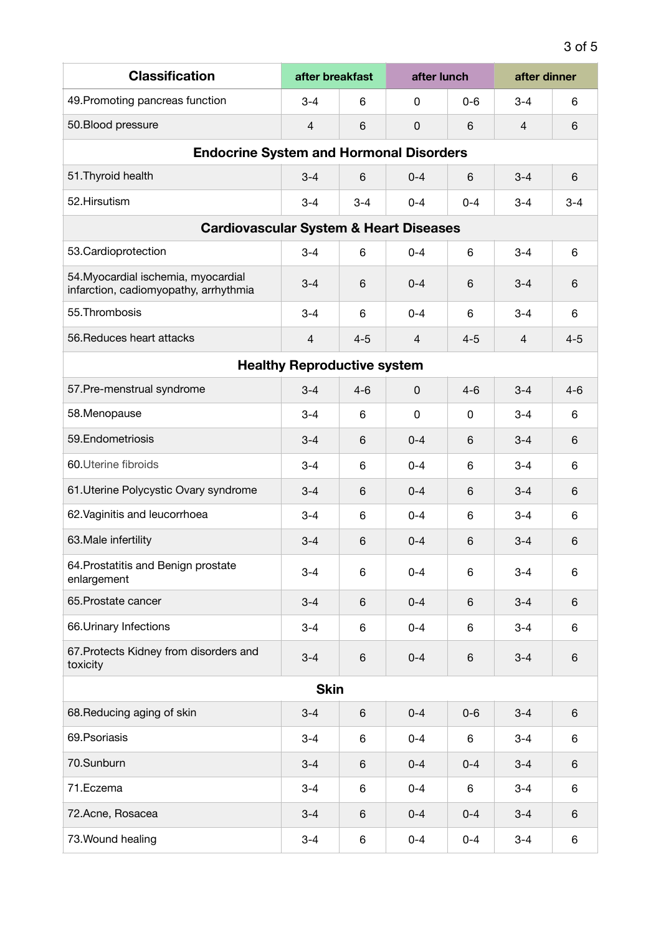| <b>Classification</b>                                                        | after breakfast                    | after lunch |                |         | after dinner   |         |  |  |
|------------------------------------------------------------------------------|------------------------------------|-------------|----------------|---------|----------------|---------|--|--|
| 49. Promoting pancreas function                                              | $3 - 4$                            | 6           | 0              | $0 - 6$ | $3 - 4$        | 6       |  |  |
| 50. Blood pressure                                                           | 4                                  | 6           | $\Omega$       | 6       | $\overline{4}$ | 6       |  |  |
| <b>Endocrine System and Hormonal Disorders</b>                               |                                    |             |                |         |                |         |  |  |
| 51. Thyroid health                                                           | $3 - 4$                            | 6           | $0 - 4$        | 6       | $3 - 4$        | 6       |  |  |
| 52.Hirsutism                                                                 | $3 - 4$                            | $3 - 4$     | $0 - 4$        | $0 - 4$ | $3 - 4$        | $3 - 4$ |  |  |
| <b>Cardiovascular System &amp; Heart Diseases</b>                            |                                    |             |                |         |                |         |  |  |
| 53.Cardioprotection                                                          | $3 - 4$                            | 6           | $0 - 4$        | 6       | $3 - 4$        | 6       |  |  |
| 54. Myocardial ischemia, myocardial<br>infarction, cadiomyopathy, arrhythmia | $3 - 4$                            | 6           | $0 - 4$        | 6       | $3 - 4$        | 6       |  |  |
| 55. Thrombosis                                                               | $3 - 4$                            | 6           | $0 - 4$        | 6       | $3 - 4$        | 6       |  |  |
| 56. Reduces heart attacks                                                    | 4                                  | $4 - 5$     | $\overline{4}$ | $4 - 5$ | $\overline{4}$ | $4 - 5$ |  |  |
|                                                                              | <b>Healthy Reproductive system</b> |             |                |         |                |         |  |  |
| 57. Pre-menstrual syndrome                                                   | $3 - 4$                            | $4 - 6$     | 0              | $4 - 6$ | $3 - 4$        | $4 - 6$ |  |  |
| 58.Menopause                                                                 | $3 - 4$                            | 6           | $\Omega$       | 0       | $3 - 4$        | 6       |  |  |
| 59. Endometriosis                                                            | $3 - 4$                            | 6           | $0 - 4$        | 6       | $3 - 4$        | 6       |  |  |
| 60. Uterine fibroids                                                         | $3 - 4$                            | 6           | $0 - 4$        | 6       | $3 - 4$        | 6       |  |  |
| 61. Uterine Polycystic Ovary syndrome                                        | $3 - 4$                            | 6           | $0 - 4$        | 6       | $3 - 4$        | 6       |  |  |
| 62. Vaginitis and leucorrhoea                                                | $3 - 4$                            | 6           | $0 - 4$        | 6       | $3 - 4$        | 6       |  |  |
| 63. Male infertility                                                         | $3 - 4$                            | 6           | $0 - 4$        | 6       | $3 - 4$        | 6       |  |  |
| 64. Prostatitis and Benign prostate<br>enlargement                           | $3 - 4$                            | 6           | $0 - 4$        | 6       | $3 - 4$        | 6       |  |  |
| 65. Prostate cancer                                                          | $3 - 4$                            | 6           | $0 - 4$        | 6       | $3 - 4$        | 6       |  |  |
| 66. Urinary Infections                                                       | $3 - 4$                            | 6           | $0 - 4$        | 6       | $3 - 4$        | 6       |  |  |
| 67. Protects Kidney from disorders and<br>toxicity                           | $3 - 4$                            | 6           | $0 - 4$        | 6       | $3 - 4$        | 6       |  |  |
| <b>Skin</b>                                                                  |                                    |             |                |         |                |         |  |  |
| 68. Reducing aging of skin                                                   | $3 - 4$                            | 6           | $0 - 4$        | $0-6$   | $3 - 4$        | 6       |  |  |
| 69. Psoriasis                                                                | $3 - 4$                            | 6           | $0 - 4$        | 6       | $3 - 4$        | 6       |  |  |
| 70.Sunburn                                                                   | $3 - 4$                            | 6           | $0 - 4$        | $0 - 4$ | $3 - 4$        | 6       |  |  |
| 71.Eczema                                                                    | $3 - 4$                            | 6           | $0 - 4$        | 6       | $3 - 4$        | 6       |  |  |
| 72.Acne, Rosacea                                                             | $3 - 4$                            | 6           | $0 - 4$        | $0 - 4$ | $3 - 4$        | 6       |  |  |
| 73. Wound healing                                                            | $3 - 4$                            | 6           | $0 - 4$        | $0 - 4$ | $3 - 4$        | 6       |  |  |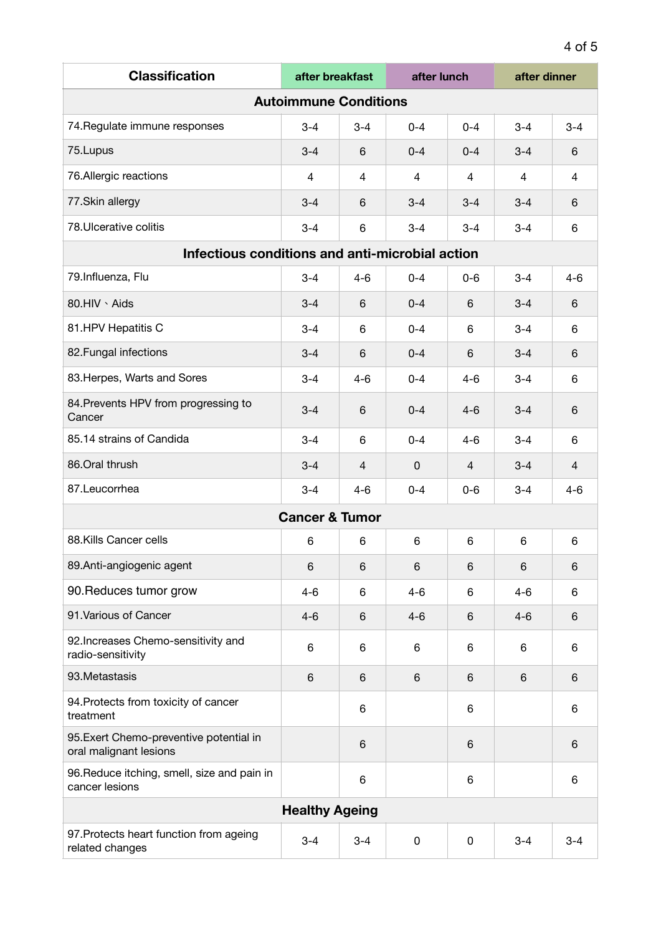| <b>Classification</b>                                             | after breakfast           |         | after lunch    |         | after dinner |                |
|-------------------------------------------------------------------|---------------------------|---------|----------------|---------|--------------|----------------|
| <b>Autoimmune Conditions</b>                                      |                           |         |                |         |              |                |
| 74. Regulate immune responses                                     | $3 - 4$                   | $3 - 4$ | $0 - 4$        | $0 - 4$ | $3 - 4$      | $3 - 4$        |
| 75. Lupus                                                         | $3 - 4$                   | 6       | $0 - 4$        | $0 - 4$ | $3 - 4$      | 6              |
| 76.Allergic reactions                                             | 4                         | 4       | $\overline{4}$ | 4       | 4            | 4              |
| 77.Skin allergy                                                   | $3 - 4$                   | 6       | $3 - 4$        | $3 - 4$ | $3 - 4$      | 6              |
| 78. Ulcerative colitis                                            | $3 - 4$                   | 6       | $3 - 4$        | $3 - 4$ | $3 - 4$      | 6              |
| Infectious conditions and anti-microbial action                   |                           |         |                |         |              |                |
| 79.Influenza, Flu                                                 | $3 - 4$                   | $4 - 6$ | $0 - 4$        | $0 - 6$ | $3 - 4$      | $4 - 6$        |
| 80.HIV \ Aids                                                     | $3 - 4$                   | 6       | $0 - 4$        | 6       | $3 - 4$      | 6              |
| 81.HPV Hepatitis C                                                | $3 - 4$                   | 6       | $0 - 4$        | 6       | $3 - 4$      | 6              |
| 82. Fungal infections                                             | $3 - 4$                   | 6       | $0 - 4$        | 6       | $3 - 4$      | 6              |
| 83. Herpes, Warts and Sores                                       | $3 - 4$                   | $4 - 6$ | $0 - 4$        | $4 - 6$ | $3 - 4$      | 6              |
| 84. Prevents HPV from progressing to<br>Cancer                    | $3 - 4$                   | 6       | $0 - 4$        | $4 - 6$ | $3 - 4$      | 6              |
| 85.14 strains of Candida                                          | $3 - 4$                   | 6       | $0 - 4$        | $4 - 6$ | $3 - 4$      | 6              |
| 86.Oral thrush                                                    | $3 - 4$                   | 4       | $\Omega$       | 4       | $3 - 4$      | $\overline{4}$ |
| 87.Leucorrhea                                                     | $3 - 4$                   | $4 - 6$ | $0 - 4$        | $0-6$   | $3 - 4$      | $4 - 6$        |
|                                                                   | <b>Cancer &amp; Tumor</b> |         |                |         |              |                |
| 88.Kills Cancer cells                                             | 6                         | 6       | 6              | 6       | 6            | 6              |
| 89.Anti-angiogenic agent                                          | 6                         | 6       | 6              | 6       | 6            | 6              |
| 90. Reduces tumor grow                                            | $4 - 6$                   | 6       | $4 - 6$        | 6       | $4 - 6$      | 6              |
| 91. Various of Cancer                                             | $4 - 6$                   | 6       | $4 - 6$        | 6       | $4 - 6$      | 6              |
| 92. Increases Chemo-sensitivity and<br>radio-sensitivity          | 6                         | 6       | 6              | 6       | 6            | 6              |
| 93. Metastasis                                                    | 6                         | 6       | 6              | 6       | 6            | 6              |
| 94. Protects from toxicity of cancer<br>treatment                 |                           | 6       |                | 6       |              | 6              |
| 95. Exert Chemo-preventive potential in<br>oral malignant lesions |                           | 6       |                | 6       |              | 6              |
| 96. Reduce itching, smell, size and pain in<br>cancer lesions     |                           | 6       |                | 6       |              | 6              |
| <b>Healthy Ageing</b>                                             |                           |         |                |         |              |                |
| 97. Protects heart function from ageing<br>related changes        | $3 - 4$                   | $3 - 4$ | 0              | 0       | $3 - 4$      | $3 - 4$        |